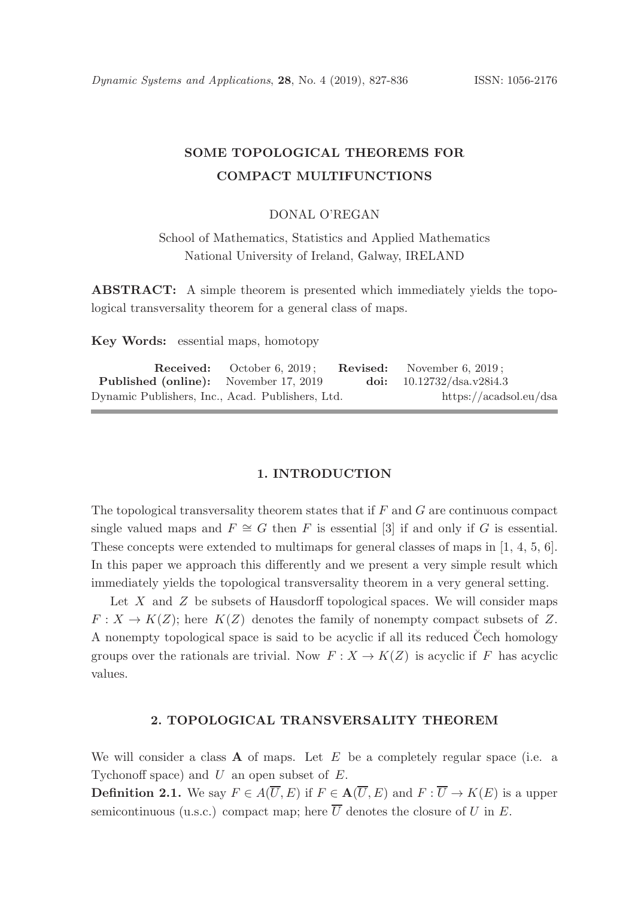# SOME TOPOLOGICAL THEOREMS FOR COMPACT MULTIFUNCTIONS

### DONAL O'REGAN

School of Mathematics, Statistics and Applied Mathematics National University of Ireland, Galway, IRELAND

ABSTRACT: A simple theorem is presented which immediately yields the topological transversality theorem for a general class of maps.

Key Words: essential maps, homotopy

|                                                  | <b>Received:</b> October 6, 2019; | <b>Revised:</b> November 6, 2019; |
|--------------------------------------------------|-----------------------------------|-----------------------------------|
| <b>Published (online):</b> November 17, 2019     |                                   | doi: $10.12732/dsa.v28i4.3$       |
| Dynamic Publishers, Inc., Acad. Publishers, Ltd. |                                   | https://acadsol.eu/dsa            |

#### 1. INTRODUCTION

The topological transversality theorem states that if  $F$  and  $G$  are continuous compact single valued maps and  $F \cong G$  then F is essential [3] if and only if G is essential. These concepts were extended to multimaps for general classes of maps in [1, 4, 5, 6]. In this paper we approach this differently and we present a very simple result which immediately yields the topological transversality theorem in a very general setting.

Let  $X$  and  $Z$  be subsets of Hausdorff topological spaces. We will consider maps  $F: X \to K(Z)$ ; here  $K(Z)$  denotes the family of nonempty compact subsets of Z. A nonempty topological space is said to be acyclic if all its reduced Cech homology ˘ groups over the rationals are trivial. Now  $F: X \to K(Z)$  is acyclic if F has acyclic values.

## 2. TOPOLOGICAL TRANSVERSALITY THEOREM

We will consider a class  $\bf{A}$  of maps. Let  $E$  be a completely regular space (i.e. a Tychonoff space) and  $U$  an open subset of  $E$ .

**Definition 2.1.** We say  $F \in A(\overline{U}, E)$  if  $F \in A(\overline{U}, E)$  and  $F : \overline{U} \to K(E)$  is a upper semicontinuous (u.s.c.) compact map; here  $\overline{U}$  denotes the closure of U in E.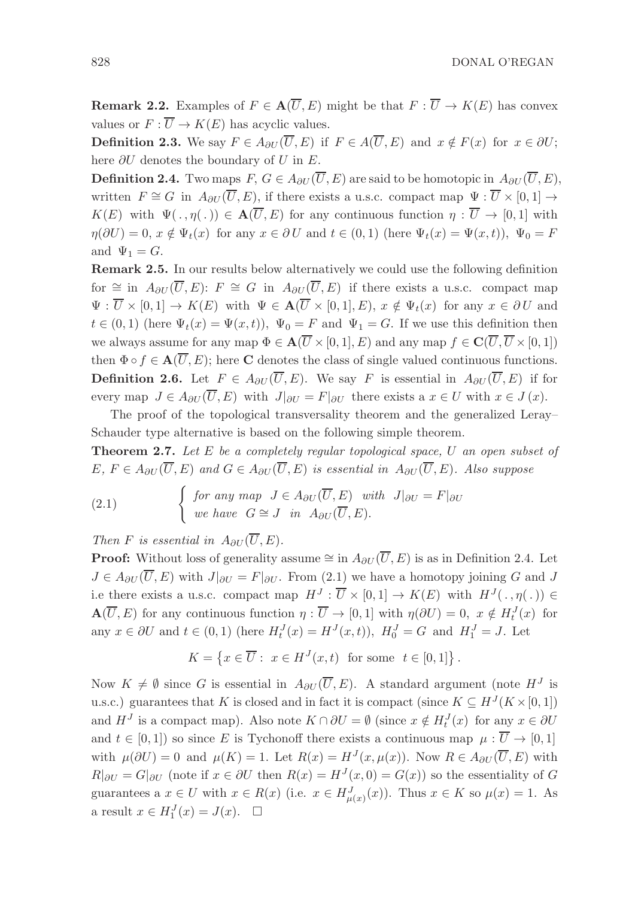828 DONAL O'REGAN

**Remark 2.2.** Examples of  $F \in \mathbf{A}(\overline{U}, E)$  might be that  $F : \overline{U} \to K(E)$  has convex values or  $F : \overline{U} \to K(E)$  has acyclic values.

**Definition 2.3.** We say  $F \in A_{\partial U}(\overline{U}, E)$  if  $F \in A(\overline{U}, E)$  and  $x \notin F(x)$  for  $x \in \partial U$ ; here  $\partial U$  denotes the boundary of U in E.

**Definition 2.4.** Two maps  $F, G \in A_{\partial U}(\overline{U}, E)$  are said to be homotopic in  $A_{\partial U}(\overline{U}, E)$ , written  $F \cong G$  in  $A_{\partial U}(\overline{U}, E)$ , if there exists a u.s.c. compact map  $\Psi : \overline{U} \times [0, 1] \rightarrow$  $K(E)$  with  $\Psi(.,\eta(.))\in \mathbf{A}(\overline{U},E)$  for any continuous function  $\eta:\overline{U}\to[0,1]$  with  $\eta(\partial U) = 0, x \notin \Psi_t(x)$  for any  $x \in \partial U$  and  $t \in (0,1)$  (here  $\Psi_t(x) = \Psi(x,t)$ ),  $\Psi_0 = F$ and  $\Psi_1 = G$ .

Remark 2.5. In our results below alternatively we could use the following definition for  $\cong$  in  $A_{\partial U}(\overline{U}, E): F \cong G$  in  $A_{\partial U}(\overline{U}, E)$  if there exists a u.s.c. compact map  $\Psi : \overline{U} \times [0,1] \to K(E)$  with  $\Psi \in \mathbf{A}(\overline{U} \times [0,1], E), x \notin \Psi_t(x)$  for any  $x \in \partial U$  and  $t \in (0,1)$  (here  $\Psi_t(x) = \Psi(x,t)$ ),  $\Psi_0 = F$  and  $\Psi_1 = G$ . If we use this definition then we always assume for any map  $\Phi \in \mathbf{A}(\overline{U} \times [0, 1], E)$  and any map  $f \in \mathbf{C}(\overline{U}, \overline{U} \times [0, 1])$ then  $\Phi \circ f \in \mathbf{A}(\overline{U}, E)$ ; here **C** denotes the class of single valued continuous functions. **Definition 2.6.** Let  $F \in A_{\partial U}(\overline{U}, E)$ . We say F is essential in  $A_{\partial U}(\overline{U}, E)$  if for every map  $J \in A_{\partial U}(\overline{U}, E)$  with  $J|_{\partial U} = F|_{\partial U}$  there exists a  $x \in U$  with  $x \in J(x)$ .

The proof of the topological transversality theorem and the generalized Leray– Schauder type alternative is based on the following simple theorem.

**Theorem 2.7.** Let  $E$  be a completely regular topological space,  $U$  an open subset of E,  $F \in A_{\partial U}(\overline{U}, E)$  and  $G \in A_{\partial U}(\overline{U}, E)$  is essential in  $A_{\partial U}(\overline{U}, E)$ . Also suppose

(2.1) 
$$
\begin{cases} \text{ for any map } J \in A_{\partial U}(\overline{U}, E) \text{ with } J|_{\partial U} = F|_{\partial U} \\ \text{ we have } G \cong J \text{ in } A_{\partial U}(\overline{U}, E). \end{cases}
$$

Then F is essential in  $A_{\partial U}(\overline{U}, E)$ .

**Proof:** Without loss of generality assume  $\cong$  in  $A_{\partial U}(\overline{U}, E)$  is as in Definition 2.4. Let  $J \in A_{\partial U}(\overline{U}, E)$  with  $J|_{\partial U} = F|_{\partial U}$ . From (2.1) we have a homotopy joining G and J i.e there exists a u.s.c. compact map  $H^J : \overline{U} \times [0,1] \to K(E)$  with  $H^J(., \eta(.) \in$  $\mathbf{A}(\overline{U}, E)$  for any continuous function  $\eta : \overline{U} \to [0, 1]$  with  $\eta(\partial U) = 0, x \notin H_t^J(x)$  for any  $x \in \partial U$  and  $t \in (0,1)$  (here  $H_t^J(x) = H^J(x,t)$ ),  $H_0^J = G$  and  $H_1^J = J$ . Let

$$
K = \left\{ x \in \overline{U} : x \in H^J(x, t) \text{ for some } t \in [0, 1] \right\}.
$$

Now  $K \neq \emptyset$  since G is essential in  $A_{\partial U}(\overline{U}, E)$ . A standard argument (note  $H^J$  is u.s.c.) guarantees that K is closed and in fact it is compact (since  $K \subseteq H<sup>J</sup>(K \times [0, 1])$ and  $H^J$  is a compact map). Also note  $K \cap \partial U = \emptyset$  (since  $x \notin H_t^J(x)$  for any  $x \in \partial U$ and  $t \in [0,1]$  so since E is Tychonoff there exists a continuous map  $\mu : \overline{U} \to [0,1]$ with  $\mu(\partial U) = 0$  and  $\mu(K) = 1$ . Let  $R(x) = H<sup>J</sup>(x, \mu(x))$ . Now  $R \in A_{\partial U}(\overline{U}, E)$  with  $R|_{\partial U} = G|_{\partial U}$  (note if  $x \in \partial U$  then  $R(x) = H^{J}(x,0) = G(x)$ ) so the essentiality of G guarantees a  $x \in U$  with  $x \in R(x)$  (i.e.  $x \in H^J_{\mu(x)}(x)$ ). Thus  $x \in K$  so  $\mu(x) = 1$ . As a result  $x \in H_1^J(x) = J(x)$ .  $\Box$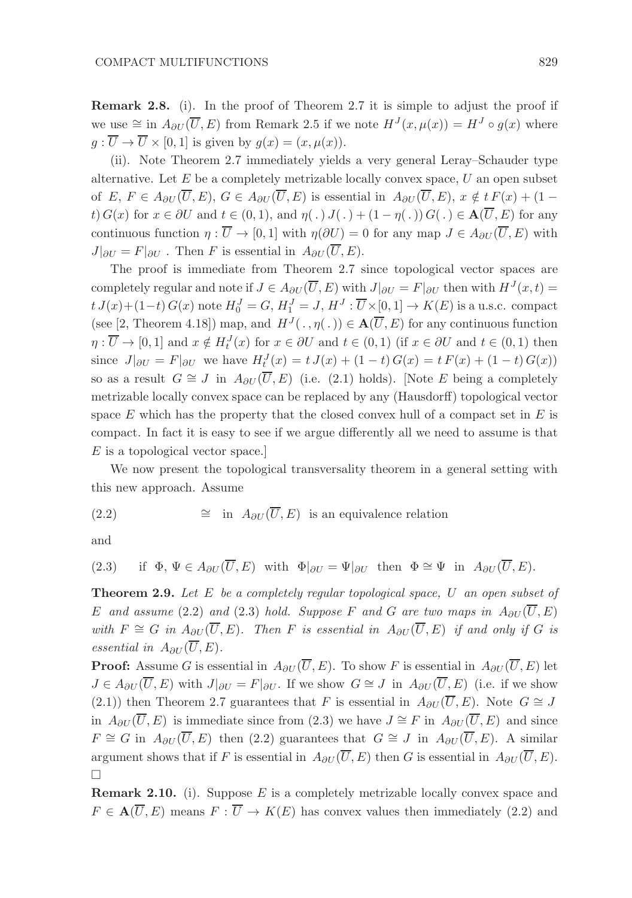Remark 2.8. (i). In the proof of Theorem 2.7 it is simple to adjust the proof if we use  $\cong$  in  $A_{\partial U}(\overline{U}, E)$  from Remark 2.5 if we note  $H^{J}(x, \mu(x)) = H^{J} \circ g(x)$  where  $g: \overline{U} \to \overline{U} \times [0,1]$  is given by  $g(x) = (x,\mu(x)).$ 

(ii). Note Theorem 2.7 immediately yields a very general Leray–Schauder type alternative. Let  $E$  be a completely metrizable locally convex space,  $U$  an open subset of E,  $F \in A_{\partial U}(\overline{U}, E)$ ,  $G \in A_{\partial U}(\overline{U}, E)$  is essential in  $A_{\partial U}(\overline{U}, E)$ ,  $x \notin t F(x) + (1$ t)  $G(x)$  for  $x \in \partial U$  and  $t \in (0,1)$ , and  $\eta(.) J(.) + (1 - \eta(.)) G(.) \in \mathbf{A}(\overline{U}, E)$  for any continuous function  $\eta : \overline{U} \to [0,1]$  with  $\eta(\partial U) = 0$  for any map  $J \in A_{\partial U}(\overline{U}, E)$  with  $J|_{\partial U} = F|_{\partial U}$ . Then F is essential in  $A_{\partial U}(\overline{U}, E)$ .

The proof is immediate from Theorem 2.7 since topological vector spaces are completely regular and note if  $J \in A_{\partial U}(\overline{U}, E)$  with  $J|_{\partial U} = F|_{\partial U}$  then with  $H^{J}(x,t) =$  $t J(x)+(1-t) G(x)$  note  $H_0^J = G$ ,  $H_1^J = J$ ,  $H^J : \overline{U} \times [0,1] \rightarrow K(E)$  is a u.s.c. compact (see [2, Theorem 4.18]) map, and  $H^{J}(\cdot, \eta(\cdot)) \in \mathbf{A}(\overline{U}, E)$  for any continuous function  $\eta: \overline{U} \to [0,1]$  and  $x \notin H_t^J(x)$  for  $x \in \partial U$  and  $t \in (0,1)$  (if  $x \in \partial U$  and  $t \in (0,1)$  then since  $J|_{\partial U} = F|_{\partial U}$  we have  $H_t^J(x) = t J(x) + (1-t) G(x) = t F(x) + (1-t) G(x)$ so as a result  $G \cong J$  in  $A_{\partial U}(\overline{U}, E)$  (i.e. (2.1) holds). [Note E being a completely metrizable locally convex space can be replaced by any (Hausdorff) topological vector space  $E$  which has the property that the closed convex hull of a compact set in  $E$  is compact. In fact it is easy to see if we argue differently all we need to assume is that E is a topological vector space.]

We now present the topological transversality theorem in a general setting with this new approach. Assume

(2.2) 
$$
\cong
$$
 in  $A_{\partial U}(\overline{U}, E)$  is an equivalence relation

and

(2.3) if 
$$
\Phi, \Psi \in A_{\partial U}(\overline{U}, E)
$$
 with  $\Phi|_{\partial U} = \Psi|_{\partial U}$  then  $\Phi \cong \Psi$  in  $A_{\partial U}(\overline{U}, E)$ .

**Theorem 2.9.** Let  $E$  be a completely regular topological space,  $U$  an open subset of E and assume (2.2) and (2.3) hold. Suppose F and G are two maps in  $A_{\partial U}(\overline{U}, E)$ with  $F \cong G$  in  $A_{\partial U}(\overline{U}, E)$ . Then F is essential in  $A_{\partial U}(\overline{U}, E)$  if and only if G is essential in  $A_{\partial U}(\overline{U},E)$ .

**Proof:** Assume G is essential in  $A_{\partial U}(\overline{U}, E)$ . To show F is essential in  $A_{\partial U}(\overline{U}, E)$  let  $J \in A_{\partial U}(\overline{U}, E)$  with  $J|_{\partial U} = F|_{\partial U}$ . If we show  $G \cong J$  in  $A_{\partial U}(\overline{U}, E)$  (i.e. if we show (2.1)) then Theorem 2.7 guarantees that F is essential in  $A_{\partial U}(\overline{U}, E)$ . Note  $G \cong J$ in  $A_{\partial U}(\overline{U}, E)$  is immediate since from (2.3) we have  $J \cong F$  in  $A_{\partial U}(\overline{U}, E)$  and since  $F \cong G$  in  $A_{\partial U}(\overline{U}, E)$  then (2.2) guarantees that  $G \cong J$  in  $A_{\partial U}(\overline{U}, E)$ . A similar argument shows that if F is essential in  $A_{\partial U}(\overline{U}, E)$  then G is essential in  $A_{\partial U}(\overline{U}, E)$ .  $\Box$ 

**Remark 2.10.** (i). Suppose  $E$  is a completely metrizable locally convex space and  $F \in \mathbf{A}(\overline{U}, E)$  means  $F : \overline{U} \to K(E)$  has convex values then immediately (2.2) and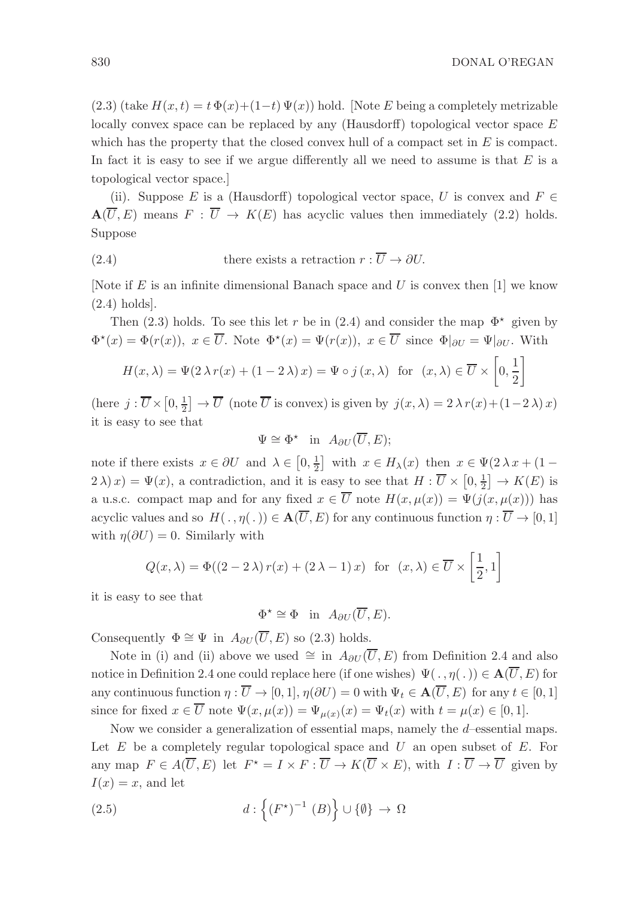$(2.3)$  (take  $H(x,t) = t \Phi(x)+(1-t) \Psi(x)$ ) hold. [Note E being a completely metrizable locally convex space can be replaced by any (Hausdorff) topological vector space E which has the property that the closed convex hull of a compact set in  $E$  is compact. In fact it is easy to see if we argue differently all we need to assume is that  $E$  is a topological vector space.]

(ii). Suppose E is a (Hausdorff) topological vector space, U is convex and  $F \in$  $\mathbf{A}(\overline{U}, E)$  means  $F : \overline{U} \to K(E)$  has acyclic values then immediately (2.2) holds. Suppose

(2.4) there exists a retraction 
$$
r : \overline{U} \to \partial U
$$
.

[Note if  $E$  is an infinite dimensional Banach space and  $U$  is convex then [1] we know (2.4) holds].

Then (2.3) holds. To see this let r be in (2.4) and consider the map  $\Phi^*$  given by  $\Phi^*(x) = \Phi(r(x)), \ x \in \overline{U}$ . Note  $\Phi^*(x) = \Psi(r(x)), \ x \in \overline{U}$  since  $\Phi|_{\partial U} = \Psi|_{\partial U}$ . With

$$
H(x,\lambda) = \Psi(2\lambda r(x) + (1 - 2\lambda)x) = \Psi \circ j(x,\lambda) \text{ for } (x,\lambda) \in \overline{U} \times \left[0,\frac{1}{2}\right]
$$

(here  $j : \overline{U} \times [0, \frac{1}{2}] \to \overline{U}$  (note  $\overline{U}$  is convex) is given by  $j(x, \lambda) = 2 \lambda r(x) + (1 - 2 \lambda)x$ ) it is easy to see that

$$
\Psi \cong \Phi^* \quad \text{in} \ \ A_{\partial U}(\overline{U}, E);
$$

note if there exists  $x \in \partial U$  and  $\lambda \in [0, \frac{1}{2}]$  with  $x \in H_{\lambda}(x)$  then  $x \in \Psi(2 \lambda x + (1 2\lambda(x) = \Psi(x)$ , a contradiction, and it is easy to see that  $H: \overline{U} \times [0, \frac{1}{2}] \to K(E)$  is a u.s.c. compact map and for any fixed  $x \in \overline{U}$  note  $H(x,\mu(x)) = \Psi(j(x,\mu(x)))$  has acyclic values and so  $H(\cdot, \eta(\cdot)) \in \mathbf{A}(\overline{U}, E)$  for any continuous function  $\eta : \overline{U} \to [0, 1]$ with  $\eta(\partial U) = 0$ . Similarly with

$$
Q(x,\lambda) = \Phi((2-2\lambda) r(x) + (2\lambda - 1) x) \text{ for } (x,\lambda) \in \overline{U} \times \left[\frac{1}{2},1\right]
$$

it is easy to see that

$$
\Phi^* \cong \Phi \quad \text{in} \quad A_{\partial U}(\overline{U}, E).
$$

Consequently  $\Phi \cong \Psi$  in  $A_{\partial U}(\overline{U}, E)$  so (2.3) holds.

Note in (i) and (ii) above we used  $\cong$  in  $A_{\partial U}(\overline{U}, E)$  from Definition 2.4 and also notice in Definition 2.4 one could replace here (if one wishes)  $\Psi(\cdot, \eta(\cdot)) \in \mathbf{A}(\overline{U}, E)$  for any continuous function  $\eta : \overline{U} \to [0, 1], \eta(\partial U) = 0$  with  $\Psi_t \in \mathbf{A}(\overline{U}, E)$  for any  $t \in [0, 1]$ since for fixed  $x \in \overline{U}$  note  $\Psi(x, \mu(x)) = \Psi_{\mu(x)}(x) = \Psi_t(x)$  with  $t = \mu(x) \in [0, 1]$ .

Now we consider a generalization of essential maps, namely the  $d$ -essential maps. Let  $E$  be a completely regular topological space and  $U$  an open subset of  $E$ . For any map  $F \in A(\overline{U}, E)$  let  $F^* = I \times F : \overline{U} \to K(\overline{U} \times E)$ , with  $I : \overline{U} \to \overline{U}$  given by  $I(x) = x$ , and let

(2.5) 
$$
d: \left\{ (F^*)^{-1} (B) \right\} \cup \{ \emptyset \} \to \Omega
$$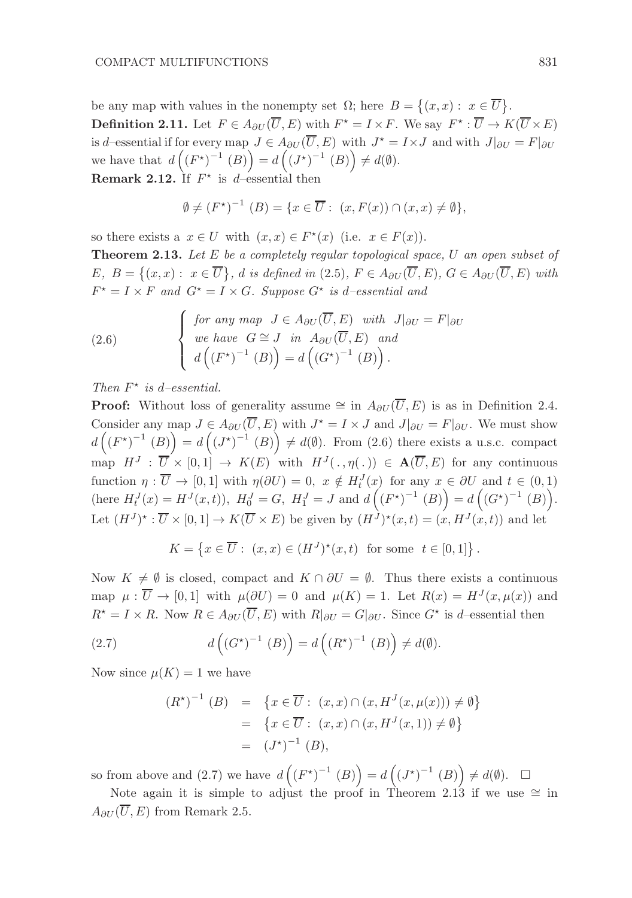be any map with values in the nonempty set  $\Omega$ ; here  $B = \{(x, x): x \in \overline{U}\}.$ **Definition 2.11.** Let  $F \in A_{\partial U}(\overline{U}, E)$  with  $F^* = I \times F$ . We say  $F^* : \overline{U} \to K(\overline{U} \times E)$ is d–essential if for every map  $J \in A_{\partial U}(\overline{U}, E)$  with  $J^* = I \times J$  and with  $J|_{\partial U} = F|_{\partial U}$ we have that  $d((F^*)^{-1}(B)) = d((J^*)^{-1}(B)) \neq d(\emptyset)$ . **Remark 2.12.** If  $F^*$  is d-essential then

$$
\emptyset \neq (F^{\star})^{-1} (B) = \{x \in \overline{U} : (x, F(x)) \cap (x, x) \neq \emptyset\},\
$$

so there exists a  $x \in U$  with  $(x, x) \in F^*(x)$  (i.e.  $x \in F(x)$ ).

**Theorem 2.13.** Let  $E$  be a completely regular topological space,  $U$  an open subset of  $E, B = \{(x, x): x \in \overline{U}\}, d \text{ is defined in (2.5)}, F \in A_{\partial U}(\overline{U}, E), G \in A_{\partial U}(\overline{U}, E) \text{ with }$  $F^* = I \times F$  and  $G^* = I \times G$ . Suppose  $G^*$  is d-essential and

(2.6) 
$$
\begin{cases} \nfor \ any \ map \ J \in A_{\partial U}(\overline{U}, E) \ with \ J|_{\partial U} = F|_{\partial U} \\
we \ have \ G \cong J \ in \ A_{\partial U}(\overline{U}, E) \ and \\
d\left((F^{\star})^{-1} (B)\right) = d\left((G^{\star})^{-1} (B)\right).\n\end{cases}
$$

Then  $F^*$  is d-essential.

**Proof:** Without loss of generality assume  $\cong$  in  $A_{\partial U}(\overline{U}, E)$  is as in Definition 2.4. Consider any map  $J \in A_{\partial U}(\overline{U}, E)$  with  $J^* = I \times J$  and  $J|_{\partial U} = F|_{\partial U}$ . We must show  $d\left(\left(F^{\star}\right)^{-1}(B)\right) = d\left(\left(J^{\star}\right)^{-1}(B)\right) \neq d(\emptyset)$ . From (2.6) there exists a u.s.c. compact map  $H^J : \overline{U} \times [0,1] \to K(E)$  with  $H^J(.,\eta(.)) \in \mathbf{A}(\overline{U},E)$  for any continuous function  $\eta : \overline{U} \to [0,1]$  with  $\eta(\partial U) = 0$ ,  $x \notin H_t^J(x)$  for any  $x \in \partial U$  and  $t \in (0,1)$ (here  $H_t^J(x) = H^J(x,t)$ ),  $H_0^J = G$ ,  $H_1^J = J$  and  $d((F^*)^{-1} (B)) = d((G^*)^{-1} (B))$ . Let  $(H^{J})^{\star} : \overline{U} \times [0,1] \to K(\overline{U} \times E)$  be given by  $(H^{J})^{\star}(x,t) = (x, H^{J}(x,t))$  and let

$$
K = \left\{ x \in \overline{U} : (x, x) \in (H^J)^*(x, t) \text{ for some } t \in [0, 1] \right\}.
$$

Now  $K \neq \emptyset$  is closed, compact and  $K \cap \partial U = \emptyset$ . Thus there exists a continuous map  $\mu : \overline{U} \to [0,1]$  with  $\mu(\partial U) = 0$  and  $\mu(K) = 1$ . Let  $R(x) = H^{J}(x, \mu(x))$  and  $R^* = I \times R$ . Now  $R \in A_{\partial U}(\overline{U}, E)$  with  $R|_{\partial U} = G|_{\partial U}$ . Since  $G^*$  is d-essential then

(2.7) 
$$
d\left(\left(G^{\star}\right)^{-1}(B)\right) = d\left(\left(R^{\star}\right)^{-1}(B)\right) \neq d(\emptyset).
$$

Now since  $\mu(K) = 1$  we have

$$
(R^*)^{-1} (B) = \{ x \in \overline{U} : (x, x) \cap (x, H^J(x, \mu(x))) \neq \emptyset \}
$$
  
=  $\{ x \in \overline{U} : (x, x) \cap (x, H^J(x, 1)) \neq \emptyset \}$   
=  $(J^*)^{-1} (B),$ 

so from above and (2.7) we have  $d((F^*)^{-1}(B)) = d((J^*)^{-1}(B)) \neq d(\emptyset)$ .  $\Box$ 

Note again it is simple to adjust the proof in Theorem 2.13 if we use  $\cong$  in  $A_{\partial U}(\overline{U}, E)$  from Remark 2.5.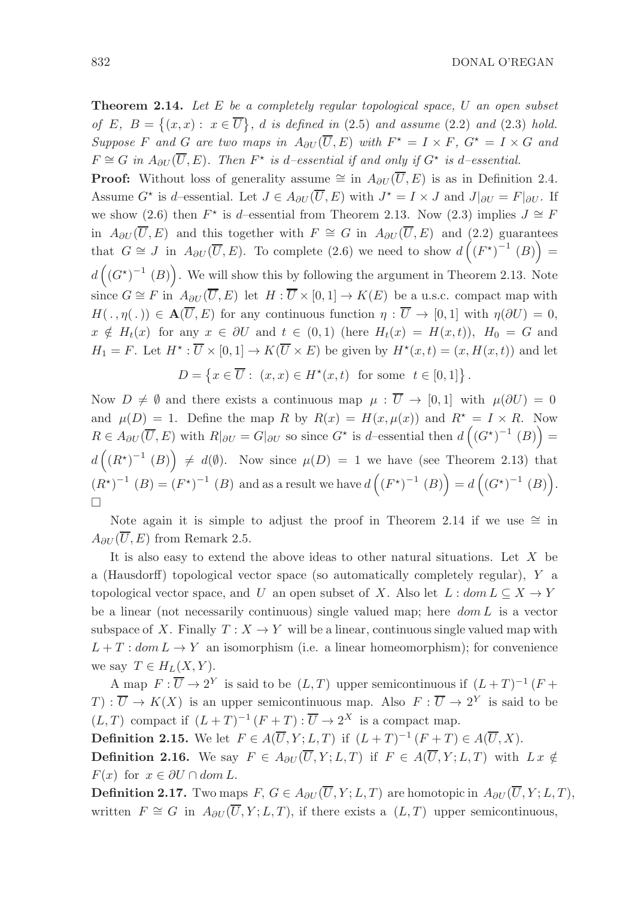832 DONAL O'REGAN

**Theorem 2.14.** Let  $E$  be a completely regular topological space,  $U$  an open subset of E,  $B = \{(x, x): x \in \overline{U}\}\text{, } d$  is defined in (2.5) and assume (2.2) and (2.3) hold. Suppose F and G are two maps in  $A_{\partial U}(\overline{U}, E)$  with  $F^* = I \times F$ ,  $G^* = I \times G$  and  $F \cong G$  in  $A_{\partial U}(\overline{U}, E)$ . Then  $F^*$  is d-essential if and only if  $G^*$  is d-essential.

**Proof:** Without loss of generality assume  $\cong$  in  $A_{\partial U}(\overline{U}, E)$  is as in Definition 2.4. Assume  $G^*$  is d–essential. Let  $J \in A_{\partial U}(\overline{U}, E)$  with  $J^* = I \times J$  and  $J|_{\partial U} = F|_{\partial U}$ . If we show (2.6) then  $F^*$  is d–essential from Theorem 2.13. Now (2.3) implies  $J \cong F$ in  $A_{\partial U}(\overline{U}, E)$  and this together with  $F \cong G$  in  $A_{\partial U}(\overline{U}, E)$  and (2.2) guarantees that  $G \cong J$  in  $A_{\partial U}(\overline{U}, E)$ . To complete (2.6) we need to show  $d((F^*)^{-1}(B)) =$  $d\left(\left(G^{\star}\right)^{-1}\left(B\right)\right)$ . We will show this by following the argument in Theorem 2.13. Note since  $G \cong F$  in  $A_{\partial U}(\overline{U}, E)$  let  $H : \overline{U} \times [0, 1] \to K(E)$  be a u.s.c. compact map with  $H(\cdot, \eta(\cdot)) \in \mathbf{A}(\overline{U}, E)$  for any continuous function  $\eta : \overline{U} \to [0, 1]$  with  $\eta(\partial U) = 0$ ,  $x \notin H_t(x)$  for any  $x \in \partial U$  and  $t \in (0,1)$  (here  $H_t(x) = H(x,t)$ ),  $H_0 = G$  and  $H_1 = F$ . Let  $H^* : \overline{U} \times [0,1] \to K(\overline{U} \times E)$  be given by  $H^*(x,t) = (x, H(x,t))$  and let

$$
D = \left\{ x \in \overline{U} : (x, x) \in H^*(x, t) \text{ for some } t \in [0, 1] \right\}.
$$

Now  $D \neq \emptyset$  and there exists a continuous map  $\mu : \overline{U} \to [0,1]$  with  $\mu(\partial U) = 0$ and  $\mu(D) = 1$ . Define the map R by  $R(x) = H(x, \mu(x))$  and  $R^* = I \times R$ . Now  $R \in A_{\partial U}(\overline{U}, E)$  with  $R|_{\partial U} = G|_{\partial U}$  so since  $G^*$  is d-essential then  $d\left((G^*)^{-1}(B)\right) =$  $d\left(\left(R^{\star}\right)^{-1}(B)\right) \neq d(\emptyset)$ . Now since  $\mu(D) = 1$  we have (see Theorem 2.13) that  $(R^{*})^{-1} (B) = (F^{*})^{-1} (B)$  and as a result we have  $d((F^{*})^{-1} (B)) = d((G^{*})^{-1} (B)).$  $\Box$ 

Note again it is simple to adjust the proof in Theorem 2.14 if we use  $\cong$  in  $A_{\partial U}(\overline{U}, E)$  from Remark 2.5.

It is also easy to extend the above ideas to other natural situations. Let X be a (Hausdorff) topological vector space (so automatically completely regular), Y a topological vector space, and U an open subset of X. Also let  $L : dom L \subseteq X \rightarrow Y$ be a linear (not necessarily continuous) single valued map; here  $dom L$  is a vector subspace of X. Finally  $T: X \to Y$  will be a linear, continuous single valued map with  $L + T : dom L \rightarrow Y$  an isomorphism (i.e. a linear homeomorphism); for convenience we say  $T \in H_L(X, Y)$ .

A map  $F: \overline{U} \to 2^Y$  is said to be  $(L, T)$  upper semicontinuous if  $(L + T)^{-1} (F + T)$  $T : \overline{U} \to K(X)$  is an upper semicontinuous map. Also  $F : \overline{U} \to 2^Y$  is said to be  $(L, T)$  compact if  $(L + T)^{-1} (F + T) : \overline{U} \to 2^X$  is a compact map.

**Definition 2.15.** We let  $F \in A(\overline{U}, Y; L, T)$  if  $(L+T)^{-1} (F+T) \in A(\overline{U}, X)$ . **Definition 2.16.** We say  $F \in A_{\partial U}(\overline{U}, Y; L, T)$  if  $F \in A(\overline{U}, Y; L, T)$  with  $Lx \notin$  $F(x)$  for  $x \in \partial U \cap dom L$ .

**Definition 2.17.** Two maps  $F, G \in A_{\partial U}(\overline{U}, Y; L, T)$  are homotopic in  $A_{\partial U}(\overline{U}, Y; L, T)$ , written  $F \cong G$  in  $A_{\partial U}(\overline{U}, Y; L, T)$ , if there exists a  $(L, T)$  upper semicontinuous,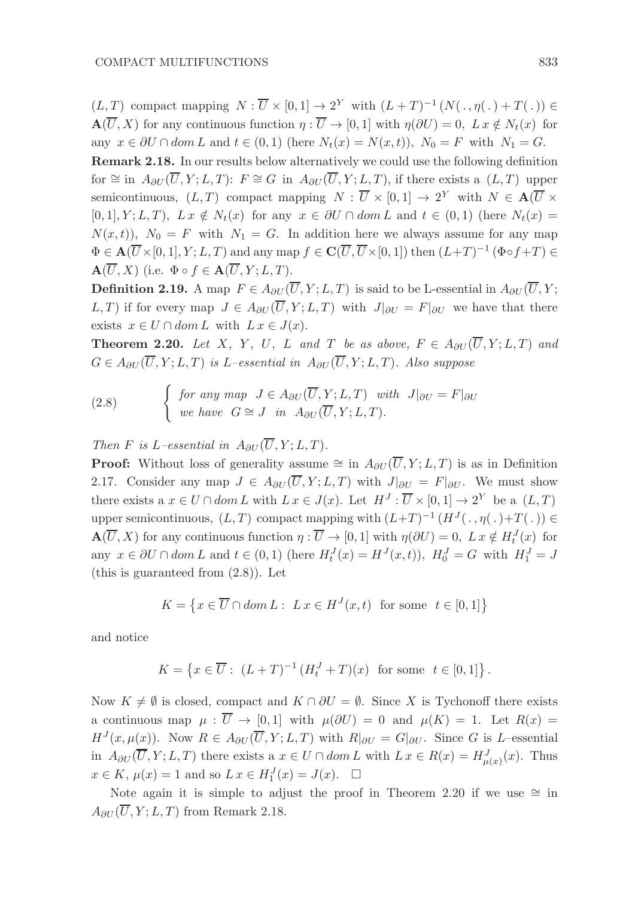$(L, T)$  compact mapping  $N : \overline{U} \times [0, 1] \to 2^Y$  with  $(L + T)^{-1}(N(\cdot, \eta(\cdot) + T(\cdot)) \in$  $\mathbf{A}(\overline{U}, X)$  for any continuous function  $\eta : \overline{U} \to [0, 1]$  with  $\eta(\partial U) = 0$ ,  $L x \notin N_t(x)$  for any  $x \in \partial U \cap dom L$  and  $t \in (0,1)$  (here  $N_t(x) = N(x,t)$ ),  $N_0 = F$  with  $N_1 = G$ .

Remark 2.18. In our results below alternatively we could use the following definition for  $\cong$  in  $A_{\partial U}(\overline{U}, Y; L, T)$ :  $F \cong G$  in  $A_{\partial U}(\overline{U}, Y; L, T)$ , if there exists a  $(L, T)$  upper semicontinuous,  $(L, T)$  compact mapping  $N : \overline{U} \times [0, 1] \rightarrow 2^Y$  with  $N \in \mathbf{A}(\overline{U} \times$  $[0, 1], Y; L, T$ ,  $L x \notin N_t(x)$  for any  $x \in \partial U \cap dom L$  and  $t \in (0, 1)$  (here  $N_t(x) =$  $N(x, t)$ ,  $N_0 = F$  with  $N_1 = G$ . In addition here we always assume for any map  $\Phi \in \mathbf{A}(\overline{U}\times [0,1], Y; L, T)$  and any map  $f \in \mathbf{C}(\overline{U}, \overline{U}\times [0,1])$  then  $(L+T)^{-1}$   $(\Phi \circ f + T) \in$  $\mathbf{A}(\overline{U}, X)$  (i.e.  $\Phi \circ f \in \mathbf{A}(\overline{U}, Y; L, T)$ .

**Definition 2.19.** A map  $F \in A_{\partial U}(\overline{U}, Y; L, T)$  is said to be L-essential in  $A_{\partial U}(\overline{U}, Y;$ L, T) if for every map  $J \in A_{\partial U}(\overline{U}, Y; L, T)$  with  $J|_{\partial U} = F|_{\partial U}$  we have that there exists  $x \in U \cap dom L$  with  $L x \in J(x)$ .

**Theorem 2.20.** Let X, Y, U, L and T be as above,  $F \in A_{\partial U}(\overline{U}, Y; L, T)$  and  $G \in A_{\partial U}(\overline{U}, Y; L, T)$  is L–essential in  $A_{\partial U}(\overline{U}, Y; L, T)$ . Also suppose

(2.8) 
$$
\begin{cases} \nfor any map \quad J \in A_{\partial U}(\overline{U}, Y; L, T) \quad with \quad J|_{\partial U} = F|_{\partial U} \\ \nwe have \quad G \cong J \quad in \quad A_{\partial U}(\overline{U}, Y; L, T). \n\end{cases}
$$

Then F is L–essential in  $A_{\partial U}(\overline{U}, Y; L, T)$ .

**Proof:** Without loss of generality assume  $\cong$  in  $A_{\partial U}(\overline{U}, Y; L, T)$  is as in Definition 2.17. Consider any map  $J \in A_{\partial U}(\overline{U}, Y; L, T)$  with  $J|_{\partial U} = F|_{\partial U}$ . We must show there exists a  $x \in U \cap dom L$  with  $L x \in J(x)$ . Let  $H^J : \overline{U} \times [0,1] \to 2^Y$  be a  $(L,T)$ upper semicontinuous,  $(L, T)$  compact mapping with  $(L+T)^{-1} (H^{J}(\ldots, \eta(\ldots) + T(\ldots)) \in$  $\mathbf{A}(\overline{U}, X)$  for any continuous function  $\eta : \overline{U} \to [0, 1]$  with  $\eta(\partial U) = 0$ ,  $L x \notin H_t^J(x)$  for any  $x \in \partial U \cap dom L$  and  $t \in (0,1)$  (here  $H_t^J(x) = H^J(x,t)$ ),  $H_0^J = G$  with  $H_1^J = J$ (this is guaranteed from (2.8)). Let

$$
K = \{ x \in \overline{U} \cap dom L : L x \in H^{J}(x, t) \text{ for some } t \in [0, 1] \}
$$

and notice

$$
K = \left\{ x \in \overline{U} : (L+T)^{-1} (H_t^J + T)(x) \text{ for some } t \in [0,1] \right\}.
$$

Now  $K \neq \emptyset$  is closed, compact and  $K \cap \partial U = \emptyset$ . Since X is Tychonoff there exists a continuous map  $\mu : \overline{U} \to [0,1]$  with  $\mu(\partial U) = 0$  and  $\mu(K) = 1$ . Let  $R(x) =$  $H^{J}(x,\mu(x))$ . Now  $R \in A_{\partial U}(\overline{U},Y;L,T)$  with  $R|_{\partial U} = G|_{\partial U}$ . Since G is L-essential in  $A_{\partial U}(\overline{U}, Y; L, T)$  there exists a  $x \in U \cap dom L$  with  $L x \in R(x) = H^J_{\mu(x)}(x)$ . Thus  $x \in K$ ,  $\mu(x) = 1$  and so  $L x \in H_1^J(x) = J(x)$ .  $\Box$ 

Note again it is simple to adjust the proof in Theorem 2.20 if we use  $\cong$  in  $A_{\partial U}(\overline{U}, Y; L, T)$  from Remark 2.18.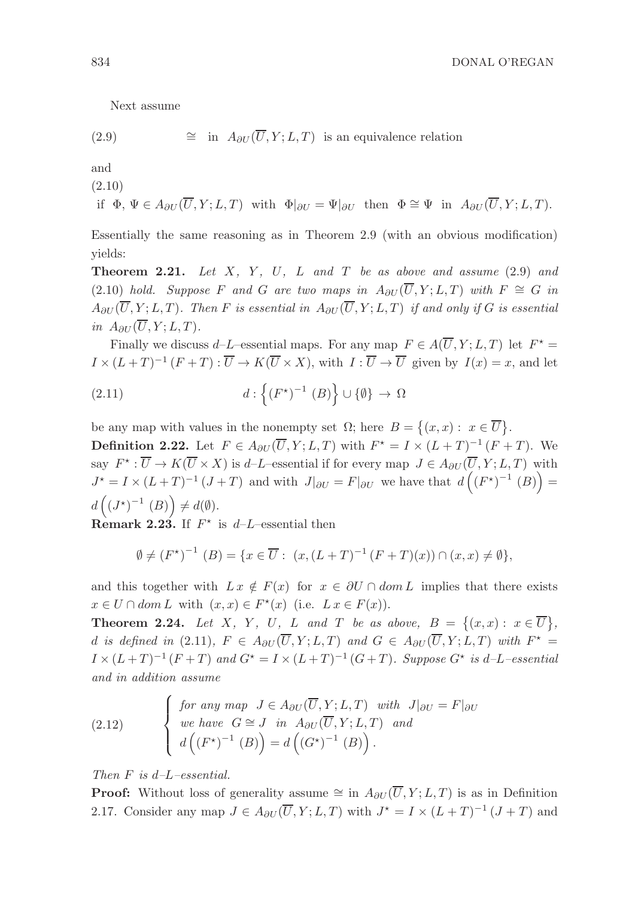Next assume

(2.9) 
$$
\cong
$$
 in  $A_{\partial U}(\overline{U}, Y; L, T)$  is an equivalence relation

and

(2.10)

if 
$$
\Phi
$$
,  $\Psi \in A_{\partial U}(\overline{U}, Y; L, T)$  with  $\Phi|_{\partial U} = \Psi|_{\partial U}$  then  $\Phi \cong \Psi$  in  $A_{\partial U}(\overline{U}, Y; L, T)$ .

Essentially the same reasoning as in Theorem 2.9 (with an obvious modification) yields:

**Theorem 2.21.** Let  $X$ ,  $Y$ ,  $U$ ,  $L$  and  $T$  be as above and assume  $(2.9)$  and (2.10) hold. Suppose F and G are two maps in  $A_{\partial U}(\overline{U}, Y; L, T)$  with  $F \cong G$  in  $A_{\partial U}(\overline{U}, Y; L, T)$ . Then F is essential in  $A_{\partial U}(\overline{U}, Y; L, T)$  if and only if G is essential in  $A_{\partial U}(\overline{U}, Y; L, T)$ .

Finally we discuss d–L–essential maps. For any map  $F \in A(\overline{U}, Y; L, T)$  let  $F^* =$  $I \times (L+T)^{-1} (F+T) : \overline{U} \to K(\overline{U} \times X)$ , with  $I: \overline{U} \to \overline{U}$  given by  $I(x) = x$ , and let

(2.11) 
$$
d: \left\{ (F^*)^{-1} (B) \right\} \cup \{ \emptyset \} \to \Omega
$$

be any map with values in the nonempty set  $\Omega$ ; here  $B = \{(x, x): x \in \overline{U}\}.$ 

**Definition 2.22.** Let  $F \in A_{\partial U}(\overline{U}, Y; L, T)$  with  $F^* = I \times (L + T)^{-1} (F + T)$ . We say  $F^* : \overline{U} \to K(\overline{U} \times X)$  is d-L-essential if for every map  $J \in A_{\partial U}(\overline{U}, Y; L, T)$  with  $J^* = I \times (L+T)^{-1} (J+T)$  and with  $J|_{\partial U} = F|_{\partial U}$  we have that  $d((F^*)^{-1} (B)) =$  $d\left((J^{\star})^{-1}(B)\right) \neq d(\emptyset).$ 

**Remark 2.23.** If  $F^*$  is  $d-L$ -essential then

$$
\emptyset \neq (F^{\star})^{-1} (B) = \{ x \in \overline{U} : (x, (L + T)^{-1} (F + T)(x)) \cap (x, x) \neq \emptyset \},
$$

and this together with  $L x \notin F(x)$  for  $x \in \partial U \cap dom L$  implies that there exists  $x \in U \cap dom L$  with  $(x, x) \in F^*(x)$  (i.e.  $L x \in F(x)$ ).

**Theorem 2.24.** Let X, Y, U, L and T be as above,  $B = \{(x,x): x \in \overline{U}\},\$ d is defined in (2.11),  $F \in A_{\partial U}(\overline{U}, Y; L, T)$  and  $G \in A_{\partial U}(\overline{U}, Y; L, T)$  with  $F^* =$  $I \times (L+T)^{-1} (F+T)$  and  $G^* = I \times (L+T)^{-1} (G+T)$ . Suppose  $G^*$  is d-L-essential and in addition assume

(2.12) 
$$
\begin{cases} \n\text{for any map } J \in A_{\partial U}(\overline{U}, Y; L, T) \text{ with } J|_{\partial U} = F|_{\partial U} \\
\text{we have } G \cong J \text{ in } A_{\partial U}(\overline{U}, Y; L, T) \text{ and} \\
d\left((F^{\star})^{-1} (B)\right) = d\left((G^{\star})^{-1} (B)\right). \n\end{cases}
$$

Then  $F$  is d-L-essential.

**Proof:** Without loss of generality assume  $\cong$  in  $A_{\partial U}(\overline{U}, Y; L, T)$  is as in Definition 2.17. Consider any map  $J \in A_{\partial U}(\overline{U}, Y; L, T)$  with  $J^* = I \times (L + T)^{-1} (J + T)$  and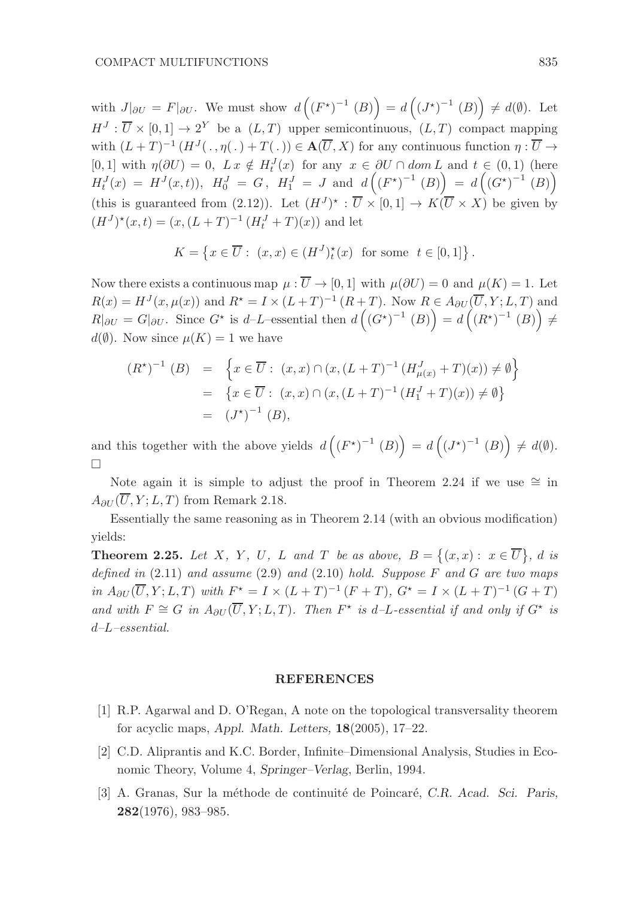with  $J|_{\partial U} = F|_{\partial U}$ . We must show  $d\left(\left(F^*\right)^{-1}(B)\right) = d\left(\left(J^*\right)^{-1}(B)\right) \neq d(\emptyset)$ . Let  $H^J: \overline{U} \times [0,1] \to 2^Y$  be a  $(L,T)$  upper semicontinuous,  $(L,T)$  compact mapping with  $(L+T)^{-1}(H^J(\cdot,\eta(\cdot)+T(\cdot))\in \mathbf{A}(\overline{U},X)$  for any continuous function  $\eta:\overline{U}\to$ [0, 1] with  $\eta(\partial U) = 0$ ,  $L x \notin H_t^J(x)$  for any  $x \in \partial U \cap dom L$  and  $t \in (0,1)$  (here  $H_t^J(x) = H^J(x,t)$ ,  $H_0^J = G$ ,  $H_1^J = J$  and  $d((F^*)^{-1} (B)) = d((G^*)^{-1} (B))$ (this is guaranteed from (2.12)). Let  $(H^J)^* : \overline{U} \times [0,1] \to K(\overline{U} \times X)$  be given by  $(H<sup>J</sup>)<sup>*</sup>(x,t) = (x,(L+T)<sup>-1</sup>(H<sub>t</sub><sup>J</sup> + T)(x))$  and let

$$
K = \left\{ x \in \overline{U} : (x, x) \in (H^J)_t^*(x) \text{ for some } t \in [0, 1] \right\}.
$$

Now there exists a continuous map  $\mu : \overline{U} \to [0,1]$  with  $\mu(\partial U) = 0$  and  $\mu(K) = 1$ . Let  $R(x) = H<sup>J</sup>(x, \mu(x))$  and  $R^* = I \times (L+T)^{-1} (R+T)$ . Now  $R \in A_{\partial U}(\overline{U}, Y; L, T)$  and  $R|_{\partial U} = G|_{\partial U}$ . Since  $G^*$  is d-L-essential then  $d\left(\left(G^*\right)^{-1}(B)\right) = d\left(\left(R^*\right)^{-1}(B)\right) \neq 0$  $d(\emptyset)$ . Now since  $\mu(K) = 1$  we have

$$
(R^*)^{-1} (B) = \left\{ x \in \overline{U} : (x, x) \cap (x, (L + T)^{-1} (H^J_{\mu(x)} + T)(x)) \neq \emptyset \right\}
$$
  
= 
$$
\left\{ x \in \overline{U} : (x, x) \cap (x, (L + T)^{-1} (H^J_1 + T)(x)) \neq \emptyset \right\}
$$
  
= 
$$
(J^*)^{-1} (B),
$$

and this together with the above yields  $d((F^*)^{-1}(B)) = d((J^*)^{-1}(B)) \neq d(\emptyset)$ .  $\Box$ 

Note again it is simple to adjust the proof in Theorem 2.24 if we use  $\cong$  in  $A_{\partial U}(\overline{U}, Y; L, T)$  from Remark 2.18.

Essentially the same reasoning as in Theorem 2.14 (with an obvious modification) yields:

**Theorem 2.25.** Let X, Y, U, L and T be as above,  $B = \{(x,x): x \in \overline{U}\}\text{, } d \text{ is }$ defined in  $(2.11)$  and assume  $(2.9)$  and  $(2.10)$  hold. Suppose F and G are two maps *in*  $A_{\partial U}(\overline{U}, Y; L, T)$  *with*  $F^* = I \times (L + T)^{-1} (F + T)$ ,  $G^* = I \times (L + T)^{-1} (G + T)$ and with  $F \cong G$  in  $A_{\partial U}(\overline{U}, Y; L, T)$ . Then  $F^*$  is d-L-essential if and only if  $G^*$  is d–L–essential.

#### REFERENCES

- [1] R.P. Agarwal and D. O'Regan, A note on the topological transversality theorem for acyclic maps, Appl. Math. Letters, 18(2005), 17–22.
- [2] C.D. Aliprantis and K.C. Border, Infinite–Dimensional Analysis, Studies in Economic Theory, Volume 4, Springer–Verlag, Berlin, 1994.
- [3] A. Granas, Sur la méthode de continuité de Poincaré, C.R. Acad. Sci. Paris, 282(1976), 983–985.